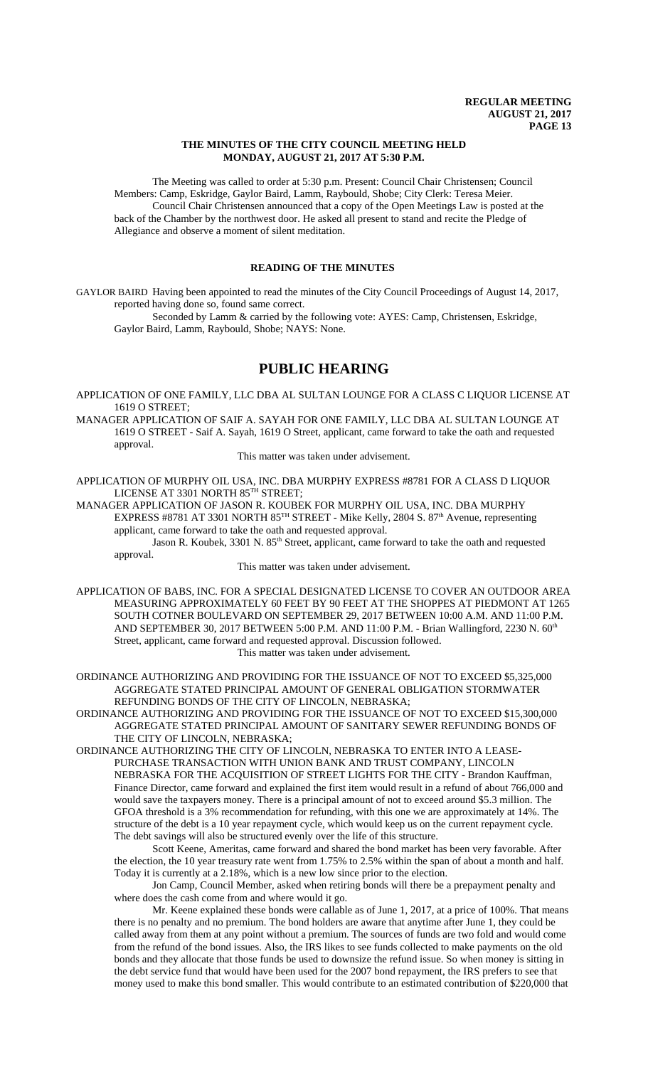### **THE MINUTES OF THE CITY COUNCIL MEETING HELD MONDAY, AUGUST 21, 2017 AT 5:30 P.M.**

The Meeting was called to order at 5:30 p.m. Present: Council Chair Christensen; Council Members: Camp, Eskridge, Gaylor Baird, Lamm, Raybould, Shobe; City Clerk: Teresa Meier. Council Chair Christensen announced that a copy of the Open Meetings Law is posted at the back of the Chamber by the northwest door. He asked all present to stand and recite the Pledge of Allegiance and observe a moment of silent meditation.

# **READING OF THE MINUTES**

GAYLOR BAIRD Having been appointed to read the minutes of the City Council Proceedings of August 14, 2017, reported having done so, found same correct.

Seconded by Lamm & carried by the following vote: AYES: Camp, Christensen, Eskridge, Gaylor Baird, Lamm, Raybould, Shobe; NAYS: None.

# **PUBLIC HEARING**

APPLICATION OF ONE FAMILY, LLC DBA AL SULTAN LOUNGE FOR A CLASS C LIQUOR LICENSE AT 1619 O STREET;

MANAGER APPLICATION OF SAIF A. SAYAH FOR ONE FAMILY, LLC DBA AL SULTAN LOUNGE AT 1619 O STREET - Saif A. Sayah, 1619 O Street, applicant, came forward to take the oath and requested approval.

This matter was taken under advisement.

APPLICATION OF MURPHY OIL USA, INC. DBA MURPHY EXPRESS #8781 FOR A CLASS D LIQUOR LICENSE AT 3301 NORTH 85<sup>TH</sup> STREET;

MANAGER APPLICATION OF JASON R. KOUBEK FOR MURPHY OIL USA, INC. DBA MURPHY EXPRESS #8781 AT 3301 NORTH 85<sup>TH</sup> STREET - Mike Kelly, 2804 S. 87<sup>th</sup> Avenue, representing applicant, came forward to take the oath and requested approval.

Jason R. Koubek, 3301 N. 85<sup>th</sup> Street, applicant, came forward to take the oath and requested approval.

This matter was taken under advisement.

- APPLICATION OF BABS, INC. FOR A SPECIAL DESIGNATED LICENSE TO COVER AN OUTDOOR AREA MEASURING APPROXIMATELY 60 FEET BY 90 FEET AT THE SHOPPES AT PIEDMONT AT 1265 SOUTH COTNER BOULEVARD ON SEPTEMBER 29, 2017 BETWEEN 10:00 A.M. AND 11:00 P.M. AND SEPTEMBER 30, 2017 BETWEEN 5:00 P.M. AND 11:00 P.M. - Brian Wallingford, 2230 N. 60<sup>th</sup> Street, applicant, came forward and requested approval. Discussion followed. This matter was taken under advisement.
- ORDINANCE AUTHORIZING AND PROVIDING FOR THE ISSUANCE OF NOT TO EXCEED \$5,325,000 AGGREGATE STATED PRINCIPAL AMOUNT OF GENERAL OBLIGATION STORMWATER REFUNDING BONDS OF THE CITY OF LINCOLN, NEBRASKA;

ORDINANCE AUTHORIZING AND PROVIDING FOR THE ISSUANCE OF NOT TO EXCEED \$15,300,000 AGGREGATE STATED PRINCIPAL AMOUNT OF SANITARY SEWER REFUNDING BONDS OF THE CITY OF LINCOLN, NEBRASKA;

ORDINANCE AUTHORIZING THE CITY OF LINCOLN, NEBRASKA TO ENTER INTO A LEASE-PURCHASE TRANSACTION WITH UNION BANK AND TRUST COMPANY, LINCOLN NEBRASKA FOR THE ACQUISITION OF STREET LIGHTS FOR THE CITY - Brandon Kauffman, Finance Director, came forward and explained the first item would result in a refund of about 766,000 and would save the taxpayers money. There is a principal amount of not to exceed around \$5.3 million. The GFOA threshold is a 3% recommendation for refunding, with this one we are approximately at 14%. The structure of the debt is a 10 year repayment cycle, which would keep us on the current repayment cycle. The debt savings will also be structured evenly over the life of this structure.

Scott Keene, Ameritas, came forward and shared the bond market has been very favorable. After the election, the 10 year treasury rate went from 1.75% to 2.5% within the span of about a month and half. Today it is currently at a 2.18%, which is a new low since prior to the election.

Jon Camp, Council Member, asked when retiring bonds will there be a prepayment penalty and where does the cash come from and where would it go.

Mr. Keene explained these bonds were callable as of June 1, 2017, at a price of 100%. That means there is no penalty and no premium. The bond holders are aware that anytime after June 1, they could be called away from them at any point without a premium. The sources of funds are two fold and would come from the refund of the bond issues. Also, the IRS likes to see funds collected to make payments on the old bonds and they allocate that those funds be used to downsize the refund issue. So when money is sitting in the debt service fund that would have been used for the 2007 bond repayment, the IRS prefers to see that money used to make this bond smaller. This would contribute to an estimated contribution of \$220,000 that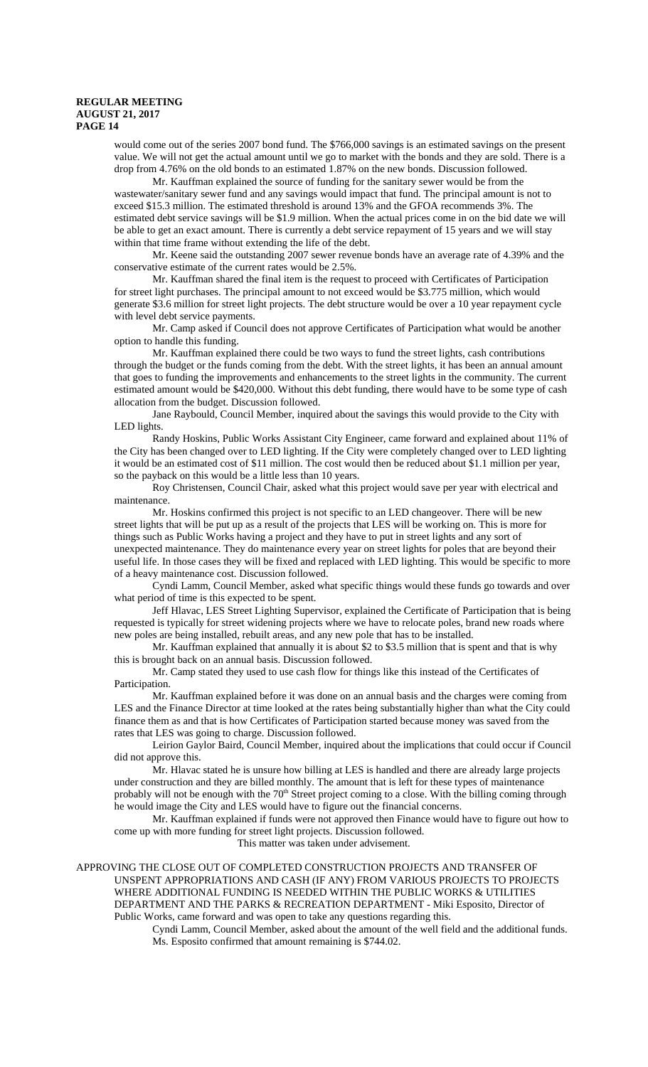would come out of the series 2007 bond fund. The \$766,000 savings is an estimated savings on the present value. We will not get the actual amount until we go to market with the bonds and they are sold. There is a drop from 4.76% on the old bonds to an estimated 1.87% on the new bonds. Discussion followed.

Mr. Kauffman explained the source of funding for the sanitary sewer would be from the wastewater/sanitary sewer fund and any savings would impact that fund. The principal amount is not to exceed \$15.3 million. The estimated threshold is around 13% and the GFOA recommends 3%. The estimated debt service savings will be \$1.9 million. When the actual prices come in on the bid date we will be able to get an exact amount. There is currently a debt service repayment of 15 years and we will stay within that time frame without extending the life of the debt.

Mr. Keene said the outstanding 2007 sewer revenue bonds have an average rate of 4.39% and the conservative estimate of the current rates would be 2.5%.

Mr. Kauffman shared the final item is the request to proceed with Certificates of Participation for street light purchases. The principal amount to not exceed would be \$3.775 million, which would generate \$3.6 million for street light projects. The debt structure would be over a 10 year repayment cycle with level debt service payments.

Mr. Camp asked if Council does not approve Certificates of Participation what would be another option to handle this funding.

Mr. Kauffman explained there could be two ways to fund the street lights, cash contributions through the budget or the funds coming from the debt. With the street lights, it has been an annual amount that goes to funding the improvements and enhancements to the street lights in the community. The current estimated amount would be \$420,000. Without this debt funding, there would have to be some type of cash allocation from the budget. Discussion followed.

Jane Raybould, Council Member, inquired about the savings this would provide to the City with LED lights.

Randy Hoskins, Public Works Assistant City Engineer, came forward and explained about 11% of the City has been changed over to LED lighting. If the City were completely changed over to LED lighting it would be an estimated cost of \$11 million. The cost would then be reduced about \$1.1 million per year, so the payback on this would be a little less than 10 years.

Roy Christensen, Council Chair, asked what this project would save per year with electrical and maintenance.

Mr. Hoskins confirmed this project is not specific to an LED changeover. There will be new street lights that will be put up as a result of the projects that LES will be working on. This is more for things such as Public Works having a project and they have to put in street lights and any sort of unexpected maintenance. They do maintenance every year on street lights for poles that are beyond their useful life. In those cases they will be fixed and replaced with LED lighting. This would be specific to more of a heavy maintenance cost. Discussion followed.

Cyndi Lamm, Council Member, asked what specific things would these funds go towards and over what period of time is this expected to be spent.

Jeff Hlavac, LES Street Lighting Supervisor, explained the Certificate of Participation that is being requested is typically for street widening projects where we have to relocate poles, brand new roads where new poles are being installed, rebuilt areas, and any new pole that has to be installed.

Mr. Kauffman explained that annually it is about \$2 to \$3.5 million that is spent and that is why this is brought back on an annual basis. Discussion followed.

Mr. Camp stated they used to use cash flow for things like this instead of the Certificates of Participation.

Mr. Kauffman explained before it was done on an annual basis and the charges were coming from LES and the Finance Director at time looked at the rates being substantially higher than what the City could finance them as and that is how Certificates of Participation started because money was saved from the rates that LES was going to charge. Discussion followed.

Leirion Gaylor Baird, Council Member, inquired about the implications that could occur if Council did not approve this.

Mr. Hlavac stated he is unsure how billing at LES is handled and there are already large projects under construction and they are billed monthly. The amount that is left for these types of maintenance probably will not be enough with the 70<sup>th</sup> Street project coming to a close. With the billing coming through he would image the City and LES would have to figure out the financial concerns.

Mr. Kauffman explained if funds were not approved then Finance would have to figure out how to come up with more funding for street light projects. Discussion followed.

This matter was taken under advisement.

APPROVING THE CLOSE OUT OF COMPLETED CONSTRUCTION PROJECTS AND TRANSFER OF UNSPENT APPROPRIATIONS AND CASH (IF ANY) FROM VARIOUS PROJECTS TO PROJECTS WHERE ADDITIONAL FUNDING IS NEEDED WITHIN THE PUBLIC WORKS & UTILITIES DEPARTMENT AND THE PARKS & RECREATION DEPARTMENT - Miki Esposito, Director of Public Works, came forward and was open to take any questions regarding this.

Cyndi Lamm, Council Member, asked about the amount of the well field and the additional funds. Ms. Esposito confirmed that amount remaining is \$744.02.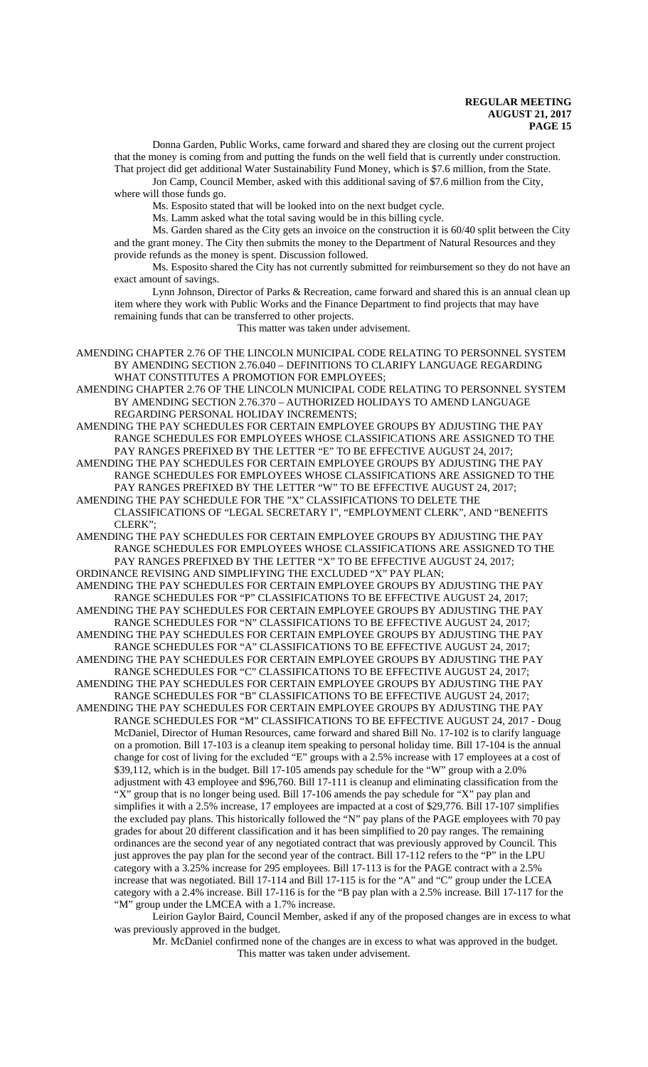Donna Garden, Public Works, came forward and shared they are closing out the current project that the money is coming from and putting the funds on the well field that is currently under construction. That project did get additional Water Sustainability Fund Money, which is \$7.6 million, from the State.

Jon Camp, Council Member, asked with this additional saving of \$7.6 million from the City, where will those funds go.

Ms. Esposito stated that will be looked into on the next budget cycle.

Ms. Lamm asked what the total saving would be in this billing cycle.

Ms. Garden shared as the City gets an invoice on the construction it is 60/40 split between the City and the grant money. The City then submits the money to the Department of Natural Resources and they provide refunds as the money is spent. Discussion followed.

Ms. Esposito shared the City has not currently submitted for reimbursement so they do not have an exact amount of savings.

Lynn Johnson, Director of Parks & Recreation, came forward and shared this is an annual clean up item where they work with Public Works and the Finance Department to find projects that may have remaining funds that can be transferred to other projects.

This matter was taken under advisement.

AMENDING CHAPTER 2.76 OF THE LINCOLN MUNICIPAL CODE RELATING TO PERSONNEL SYSTEM BY AMENDING SECTION 2.76.040 – DEFINITIONS TO CLARIFY LANGUAGE REGARDING WHAT CONSTITUTES A PROMOTION FOR EMPLOYEES;

AMENDING CHAPTER 2.76 OF THE LINCOLN MUNICIPAL CODE RELATING TO PERSONNEL SYSTEM BY AMENDING SECTION 2.76.370 – AUTHORIZED HOLIDAYS TO AMEND LANGUAGE REGARDING PERSONAL HOLIDAY INCREMENTS;

AMENDING THE PAY SCHEDULES FOR CERTAIN EMPLOYEE GROUPS BY ADJUSTING THE PAY RANGE SCHEDULES FOR EMPLOYEES WHOSE CLASSIFICATIONS ARE ASSIGNED TO THE PAY RANGES PREFIXED BY THE LETTER "E" TO BE EFFECTIVE AUGUST 24, 2017;

AMENDING THE PAY SCHEDULES FOR CERTAIN EMPLOYEE GROUPS BY ADJUSTING THE PAY RANGE SCHEDULES FOR EMPLOYEES WHOSE CLASSIFICATIONS ARE ASSIGNED TO THE PAY RANGES PREFIXED BY THE LETTER "W" TO BE EFFECTIVE AUGUST 24, 2017;

AMENDING THE PAY SCHEDULE FOR THE "X" CLASSIFICATIONS TO DELETE THE CLASSIFICATIONS OF "LEGAL SECRETARY I", "EMPLOYMENT CLERK", AND "BENEFITS CLERK";

AMENDING THE PAY SCHEDULES FOR CERTAIN EMPLOYEE GROUPS BY ADJUSTING THE PAY RANGE SCHEDULES FOR EMPLOYEES WHOSE CLASSIFICATIONS ARE ASSIGNED TO THE PAY RANGES PREFIXED BY THE LETTER "X" TO BE EFFECTIVE AUGUST 24, 2017;

ORDINANCE REVISING AND SIMPLIFYING THE EXCLUDED "X" PAY PLAN;

AMENDING THE PAY SCHEDULES FOR CERTAIN EMPLOYEE GROUPS BY ADJUSTING THE PAY RANGE SCHEDULES FOR "P" CLASSIFICATIONS TO BE EFFECTIVE AUGUST 24, 2017; AMENDING THE PAY SCHEDULES FOR CERTAIN EMPLOYEE GROUPS BY ADJUSTING THE PAY

RANGE SCHEDULES FOR "N" CLASSIFICATIONS TO BE EFFECTIVE AUGUST 24, 2017;

AMENDING THE PAY SCHEDULES FOR CERTAIN EMPLOYEE GROUPS BY ADJUSTING THE PAY RANGE SCHEDULES FOR "A" CLASSIFICATIONS TO BE EFFECTIVE AUGUST 24, 2017;

AMENDING THE PAY SCHEDULES FOR CERTAIN EMPLOYEE GROUPS BY ADJUSTING THE PAY RANGE SCHEDULES FOR "C" CLASSIFICATIONS TO BE EFFECTIVE AUGUST 24, 2017;

AMENDING THE PAY SCHEDULES FOR CERTAIN EMPLOYEE GROUPS BY ADJUSTING THE PAY RANGE SCHEDULES FOR "B" CLASSIFICATIONS TO BE EFFECTIVE AUGUST 24, 2017;

AMENDING THE PAY SCHEDULES FOR CERTAIN EMPLOYEE GROUPS BY ADJUSTING THE PAY RANGE SCHEDULES FOR "M" CLASSIFICATIONS TO BE EFFECTIVE AUGUST 24, 2017 - Doug McDaniel, Director of Human Resources, came forward and shared Bill No. 17-102 is to clarify language on a promotion. Bill 17-103 is a cleanup item speaking to personal holiday time. Bill 17-104 is the annual change for cost of living for the excluded "E" groups with a 2.5% increase with 17 employees at a cost of \$39,112, which is in the budget. Bill 17-105 amends pay schedule for the "W" group with a 2.0% adjustment with 43 employee and \$96,760. Bill 17-111 is cleanup and eliminating classification from the "X" group that is no longer being used. Bill 17-106 amends the pay schedule for "X" pay plan and simplifies it with a 2.5% increase, 17 employees are impacted at a cost of \$29,776. Bill 17-107 simplifies the excluded pay plans. This historically followed the "N" pay plans of the PAGE employees with 70 pay grades for about 20 different classification and it has been simplified to 20 pay ranges. The remaining ordinances are the second year of any negotiated contract that was previously approved by Council. This just approves the pay plan for the second year of the contract. Bill 17-112 refers to the "P" in the LPU category with a 3.25% increase for 295 employees. Bill 17-113 is for the PAGE contract with a 2.5% increase that was negotiated. Bill 17-114 and Bill 17-115 is for the "A" and "C" group under the LCEA category with a 2.4% increase. Bill 17-116 is for the "B pay plan with a 2.5% increase. Bill 17-117 for the "M" group under the LMCEA with a 1.7% increase.

Leirion Gaylor Baird, Council Member, asked if any of the proposed changes are in excess to what was previously approved in the budget.

Mr. McDaniel confirmed none of the changes are in excess to what was approved in the budget. This matter was taken under advisement.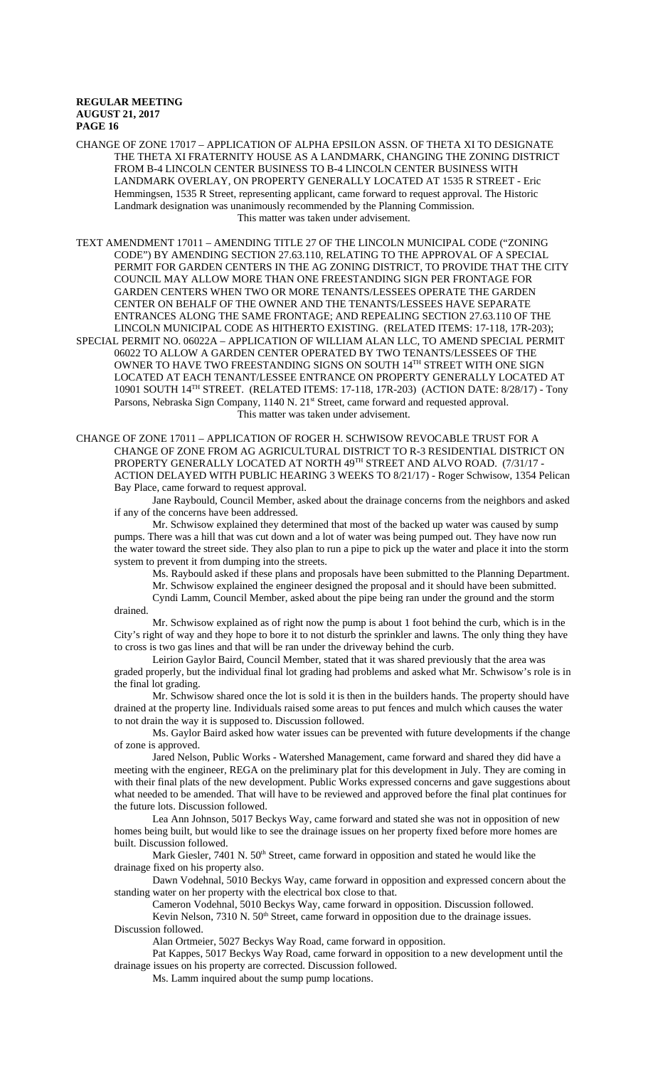CHANGE OF ZONE 17017 – APPLICATION OF ALPHA EPSILON ASSN. OF THETA XI TO DESIGNATE THE THETA XI FRATERNITY HOUSE AS A LANDMARK, CHANGING THE ZONING DISTRICT FROM B-4 LINCOLN CENTER BUSINESS TO B-4 LINCOLN CENTER BUSINESS WITH LANDMARK OVERLAY, ON PROPERTY GENERALLY LOCATED AT 1535 R STREET - Eric Hemmingsen, 1535 R Street, representing applicant, came forward to request approval. The Historic Landmark designation was unanimously recommended by the Planning Commission. This matter was taken under advisement.

TEXT AMENDMENT 17011 – AMENDING TITLE 27 OF THE LINCOLN MUNICIPAL CODE ("ZONING CODE") BY AMENDING SECTION 27.63.110, RELATING TO THE APPROVAL OF A SPECIAL PERMIT FOR GARDEN CENTERS IN THE AG ZONING DISTRICT, TO PROVIDE THAT THE CITY COUNCIL MAY ALLOW MORE THAN ONE FREESTANDING SIGN PER FRONTAGE FOR GARDEN CENTERS WHEN TWO OR MORE TENANTS/LESSEES OPERATE THE GARDEN CENTER ON BEHALF OF THE OWNER AND THE TENANTS/LESSEES HAVE SEPARATE ENTRANCES ALONG THE SAME FRONTAGE; AND REPEALING SECTION 27.63.110 OF THE LINCOLN MUNICIPAL CODE AS HITHERTO EXISTING. (RELATED ITEMS: 17-118, 17R-203); SPECIAL PERMIT NO. 06022A – APPLICATION OF WILLIAM ALAN LLC, TO AMEND SPECIAL PERMIT 06022 TO ALLOW A GARDEN CENTER OPERATED BY TWO TENANTS/LESSEES OF THE OWNER TO HAVE TWO FREESTANDING SIGNS ON SOUTH 14TH STREET WITH ONE SIGN LOCATED AT EACH TENANT/LESSEE ENTRANCE ON PROPERTY GENERALLY LOCATED AT 10901 SOUTH 14TH STREET. (RELATED ITEMS: 17-118, 17R-203) (ACTION DATE: 8/28/17) - Tony Parsons, Nebraska Sign Company, 1140 N. 21<sup>st</sup> Street, came forward and requested approval. This matter was taken under advisement.

CHANGE OF ZONE 17011 – APPLICATION OF ROGER H. SCHWISOW REVOCABLE TRUST FOR A CHANGE OF ZONE FROM AG AGRICULTURAL DISTRICT TO R-3 RESIDENTIAL DISTRICT ON PROPERTY GENERALLY LOCATED AT NORTH 49TH STREET AND ALVO ROAD. (7/31/17 -ACTION DELAYED WITH PUBLIC HEARING 3 WEEKS TO 8/21/17) - Roger Schwisow, 1354 Pelican Bay Place, came forward to request approval.

Jane Raybould, Council Member, asked about the drainage concerns from the neighbors and asked if any of the concerns have been addressed.

Mr. Schwisow explained they determined that most of the backed up water was caused by sump pumps. There was a hill that was cut down and a lot of water was being pumped out. They have now run the water toward the street side. They also plan to run a pipe to pick up the water and place it into the storm system to prevent it from dumping into the streets.

Ms. Raybould asked if these plans and proposals have been submitted to the Planning Department. Mr. Schwisow explained the engineer designed the proposal and it should have been submitted.

Cyndi Lamm, Council Member, asked about the pipe being ran under the ground and the storm drained.

Mr. Schwisow explained as of right now the pump is about 1 foot behind the curb, which is in the City's right of way and they hope to bore it to not disturb the sprinkler and lawns. The only thing they have to cross is two gas lines and that will be ran under the driveway behind the curb.

Leirion Gaylor Baird, Council Member, stated that it was shared previously that the area was graded properly, but the individual final lot grading had problems and asked what Mr. Schwisow's role is in the final lot grading.

Mr. Schwisow shared once the lot is sold it is then in the builders hands. The property should have drained at the property line. Individuals raised some areas to put fences and mulch which causes the water to not drain the way it is supposed to. Discussion followed.

Ms. Gaylor Baird asked how water issues can be prevented with future developments if the change of zone is approved.

Jared Nelson, Public Works - Watershed Management, came forward and shared they did have a meeting with the engineer, REGA on the preliminary plat for this development in July. They are coming in with their final plats of the new development. Public Works expressed concerns and gave suggestions about what needed to be amended. That will have to be reviewed and approved before the final plat continues for the future lots. Discussion followed.

Lea Ann Johnson, 5017 Beckys Way, came forward and stated she was not in opposition of new homes being built, but would like to see the drainage issues on her property fixed before more homes are built. Discussion followed.

Mark Giesler, 7401 N. 50<sup>th</sup> Street, came forward in opposition and stated he would like the drainage fixed on his property also.

Dawn Vodehnal, 5010 Beckys Way, came forward in opposition and expressed concern about the standing water on her property with the electrical box close to that.

Cameron Vodehnal, 5010 Beckys Way, came forward in opposition. Discussion followed.

Kevin Nelson,  $7310$  N.  $50<sup>th</sup>$  Street, came forward in opposition due to the drainage issues. Discussion followed.

Alan Ortmeier, 5027 Beckys Way Road, came forward in opposition.

Pat Kappes, 5017 Beckys Way Road, came forward in opposition to a new development until the drainage issues on his property are corrected. Discussion followed.

Ms. Lamm inquired about the sump pump locations.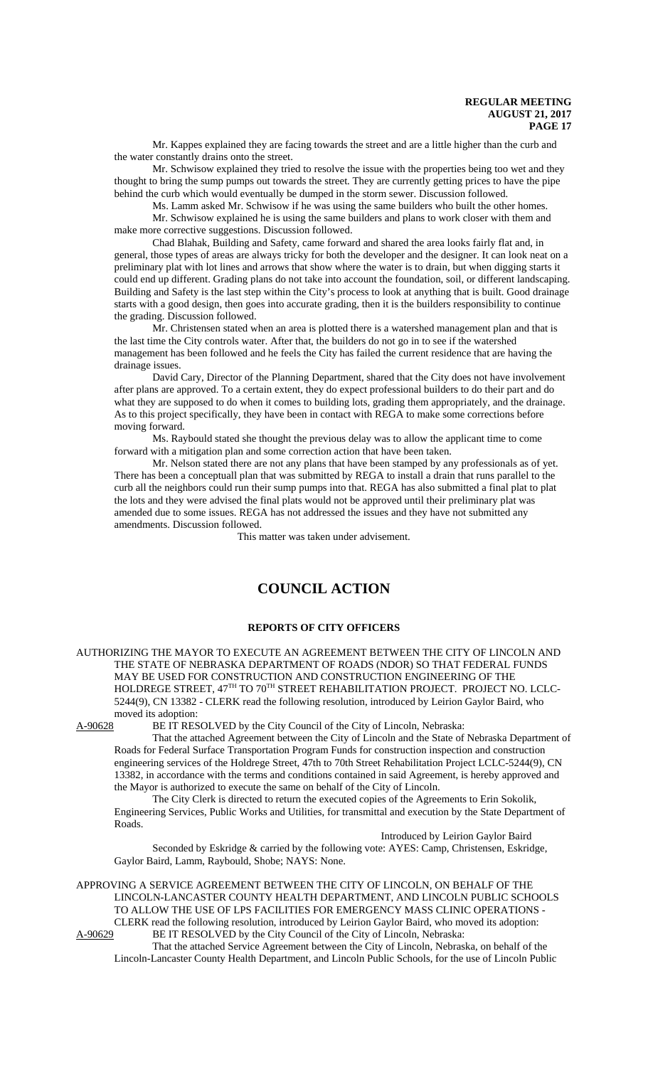Mr. Kappes explained they are facing towards the street and are a little higher than the curb and the water constantly drains onto the street.

Mr. Schwisow explained they tried to resolve the issue with the properties being too wet and they thought to bring the sump pumps out towards the street. They are currently getting prices to have the pipe behind the curb which would eventually be dumped in the storm sewer. Discussion followed.

Ms. Lamm asked Mr. Schwisow if he was using the same builders who built the other homes. Mr. Schwisow explained he is using the same builders and plans to work closer with them and make more corrective suggestions. Discussion followed.

Chad Blahak, Building and Safety, came forward and shared the area looks fairly flat and, in general, those types of areas are always tricky for both the developer and the designer. It can look neat on a preliminary plat with lot lines and arrows that show where the water is to drain, but when digging starts it could end up different. Grading plans do not take into account the foundation, soil, or different landscaping. Building and Safety is the last step within the City's process to look at anything that is built. Good drainage starts with a good design, then goes into accurate grading, then it is the builders responsibility to continue the grading. Discussion followed.

Mr. Christensen stated when an area is plotted there is a watershed management plan and that is the last time the City controls water. After that, the builders do not go in to see if the watershed management has been followed and he feels the City has failed the current residence that are having the drainage issues.

David Cary, Director of the Planning Department, shared that the City does not have involvement after plans are approved. To a certain extent, they do expect professional builders to do their part and do what they are supposed to do when it comes to building lots, grading them appropriately, and the drainage. As to this project specifically, they have been in contact with REGA to make some corrections before moving forward.

Ms. Raybould stated she thought the previous delay was to allow the applicant time to come forward with a mitigation plan and some correction action that have been taken.

Mr. Nelson stated there are not any plans that have been stamped by any professionals as of yet. There has been a conceptuall plan that was submitted by REGA to install a drain that runs parallel to the curb all the neighbors could run their sump pumps into that. REGA has also submitted a final plat to plat the lots and they were advised the final plats would not be approved until their preliminary plat was amended due to some issues. REGA has not addressed the issues and they have not submitted any amendments. Discussion followed.

This matter was taken under advisement.

# **COUNCIL ACTION**

# **REPORTS OF CITY OFFICERS**

AUTHORIZING THE MAYOR TO EXECUTE AN AGREEMENT BETWEEN THE CITY OF LINCOLN AND THE STATE OF NEBRASKA DEPARTMENT OF ROADS (NDOR) SO THAT FEDERAL FUNDS MAY BE USED FOR CONSTRUCTION AND CONSTRUCTION ENGINEERING OF THE HOLDREGE STREET, 47<sup>TH</sup> TO 70<sup>TH</sup> STREET REHABILITATION PROJECT. PROJECT NO. LCLC-5244(9), CN 13382 - CLERK read the following resolution, introduced by Leirion Gaylor Baird, who moved its adoption:<br>A-90628 BE IT RES

BE IT RESOLVED by the City Council of the City of Lincoln, Nebraska:

That the attached Agreement between the City of Lincoln and the State of Nebraska Department of Roads for Federal Surface Transportation Program Funds for construction inspection and construction engineering services of the Holdrege Street, 47th to 70th Street Rehabilitation Project LCLC-5244(9), CN 13382, in accordance with the terms and conditions contained in said Agreement, is hereby approved and the Mayor is authorized to execute the same on behalf of the City of Lincoln.

The City Clerk is directed to return the executed copies of the Agreements to Erin Sokolik, Engineering Services, Public Works and Utilities, for transmittal and execution by the State Department of Roads.

# Introduced by Leirion Gaylor Baird

Seconded by Eskridge & carried by the following vote: AYES: Camp, Christensen, Eskridge, Gaylor Baird, Lamm, Raybould, Shobe; NAYS: None.

APPROVING A SERVICE AGREEMENT BETWEEN THE CITY OF LINCOLN, ON BEHALF OF THE LINCOLN-LANCASTER COUNTY HEALTH DEPARTMENT, AND LINCOLN PUBLIC SCHOOLS TO ALLOW THE USE OF LPS FACILITIES FOR EMERGENCY MASS CLINIC OPERATIONS - CLERK read the following resolution, introduced by Leirion Gaylor Baird, who moved its adoption:<br>A-90629 BE IT RESOLVED by the City Council of the City of Lincoln, Nebraska: BE IT RESOLVED by the City Council of the City of Lincoln, Nebraska:

That the attached Service Agreement between the City of Lincoln, Nebraska, on behalf of the Lincoln-Lancaster County Health Department, and Lincoln Public Schools, for the use of Lincoln Public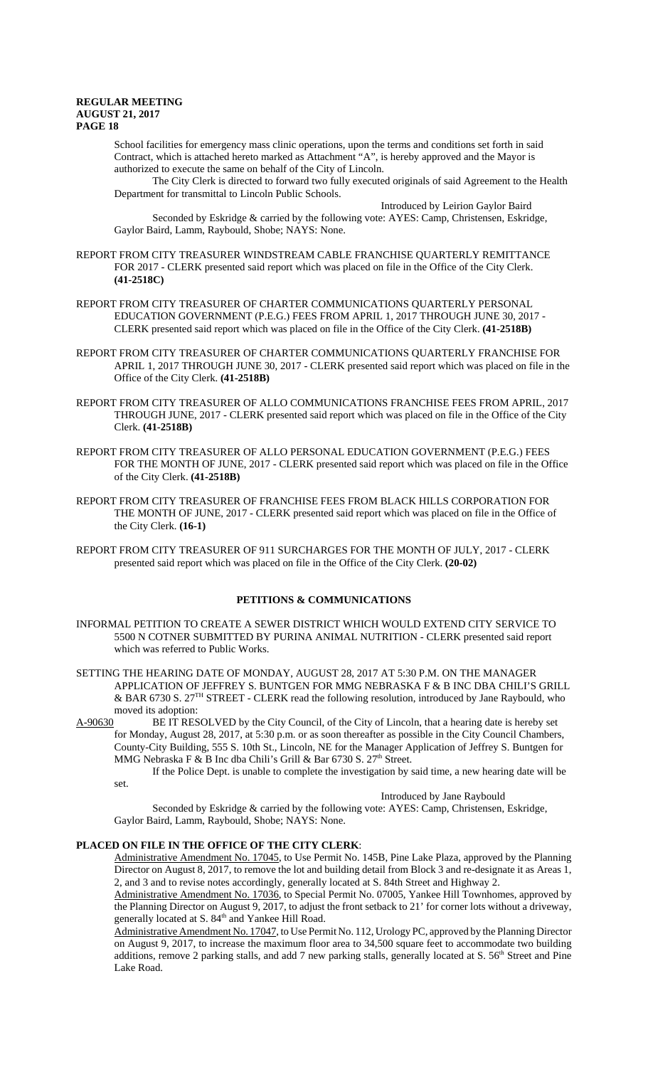School facilities for emergency mass clinic operations, upon the terms and conditions set forth in said Contract, which is attached hereto marked as Attachment "A", is hereby approved and the Mayor is authorized to execute the same on behalf of the City of Lincoln.

The City Clerk is directed to forward two fully executed originals of said Agreement to the Health Department for transmittal to Lincoln Public Schools.

Introduced by Leirion Gaylor Baird Seconded by Eskridge & carried by the following vote: AYES: Camp, Christensen, Eskridge, Gaylor Baird, Lamm, Raybould, Shobe; NAYS: None.

- REPORT FROM CITY TREASURER WINDSTREAM CABLE FRANCHISE QUARTERLY REMITTANCE FOR 2017 - CLERK presented said report which was placed on file in the Office of the City Clerk. **(41-2518C)**
- REPORT FROM CITY TREASURER OF CHARTER COMMUNICATIONS QUARTERLY PERSONAL EDUCATION GOVERNMENT (P.E.G.) FEES FROM APRIL 1, 2017 THROUGH JUNE 30, 2017 - CLERK presented said report which was placed on file in the Office of the City Clerk. **(41-2518B)**
- REPORT FROM CITY TREASURER OF CHARTER COMMUNICATIONS QUARTERLY FRANCHISE FOR APRIL 1, 2017 THROUGH JUNE 30, 2017 - CLERK presented said report which was placed on file in the Office of the City Clerk. **(41-2518B)**
- REPORT FROM CITY TREASURER OF ALLO COMMUNICATIONS FRANCHISE FEES FROM APRIL, 2017 THROUGH JUNE, 2017 - CLERK presented said report which was placed on file in the Office of the City Clerk. **(41-2518B)**
- REPORT FROM CITY TREASURER OF ALLO PERSONAL EDUCATION GOVERNMENT (P.E.G.) FEES FOR THE MONTH OF JUNE, 2017 - CLERK presented said report which was placed on file in the Office of the City Clerk. **(41-2518B)**
- REPORT FROM CITY TREASURER OF FRANCHISE FEES FROM BLACK HILLS CORPORATION FOR THE MONTH OF JUNE, 2017 - CLERK presented said report which was placed on file in the Office of the City Clerk. **(16-1)**
- REPORT FROM CITY TREASURER OF 911 SURCHARGES FOR THE MONTH OF JULY, 2017 CLERK presented said report which was placed on file in the Office of the City Clerk. **(20-02)**

### **PETITIONS & COMMUNICATIONS**

- INFORMAL PETITION TO CREATE A SEWER DISTRICT WHICH WOULD EXTEND CITY SERVICE TO 5500 N COTNER SUBMITTED BY PURINA ANIMAL NUTRITION - CLERK presented said report which was referred to Public Works.
- SETTING THE HEARING DATE OF MONDAY, AUGUST 28, 2017 AT 5:30 P.M. ON THE MANAGER APPLICATION OF JEFFREY S. BUNTGEN FOR MMG NEBRASKA F & B INC DBA CHILI'S GRILL & BAR 6730 S. 27TH STREET - CLERK read the following resolution, introduced by Jane Raybould, who moved its adoption:
- A-90630 BE IT RESOLVED by the City Council, of the City of Lincoln, that a hearing date is hereby set for Monday, August 28, 2017, at 5:30 p.m. or as soon thereafter as possible in the City Council Chambers, County-City Building, 555 S. 10th St., Lincoln, NE for the Manager Application of Jeffrey S. Buntgen for MMG Nebraska F & B Inc dba Chili's Grill & Bar 6730 S. 27<sup>th</sup> Street.

If the Police Dept. is unable to complete the investigation by said time, a new hearing date will be set.

# Introduced by Jane Raybould

Seconded by Eskridge & carried by the following vote: AYES: Camp, Christensen, Eskridge, Gaylor Baird, Lamm, Raybould, Shobe; NAYS: None.

### **PLACED ON FILE IN THE OFFICE OF THE CITY CLERK**:

Administrative Amendment No. 17045, to Use Permit No. 145B, Pine Lake Plaza, approved by the Planning Director on August 8, 2017, to remove the lot and building detail from Block 3 and re-designate it as Areas 1, 2, and 3 and to revise notes accordingly, generally located at S. 84th Street and Highway 2.

Administrative Amendment No. 17036, to Special Permit No. 07005, Yankee Hill Townhomes, approved by the Planning Director on August 9, 2017, to adjust the front setback to 21' for corner lots without a driveway, generally located at S. 84<sup>th</sup> and Yankee Hill Road.

Administrative Amendment No. 17047, to Use Permit No. 112, Urology PC, approved by the Planning Director on August 9, 2017, to increase the maximum floor area to 34,500 square feet to accommodate two building additions, remove 2 parking stalls, and add 7 new parking stalls, generally located at S. 56<sup>th</sup> Street and Pine Lake Road.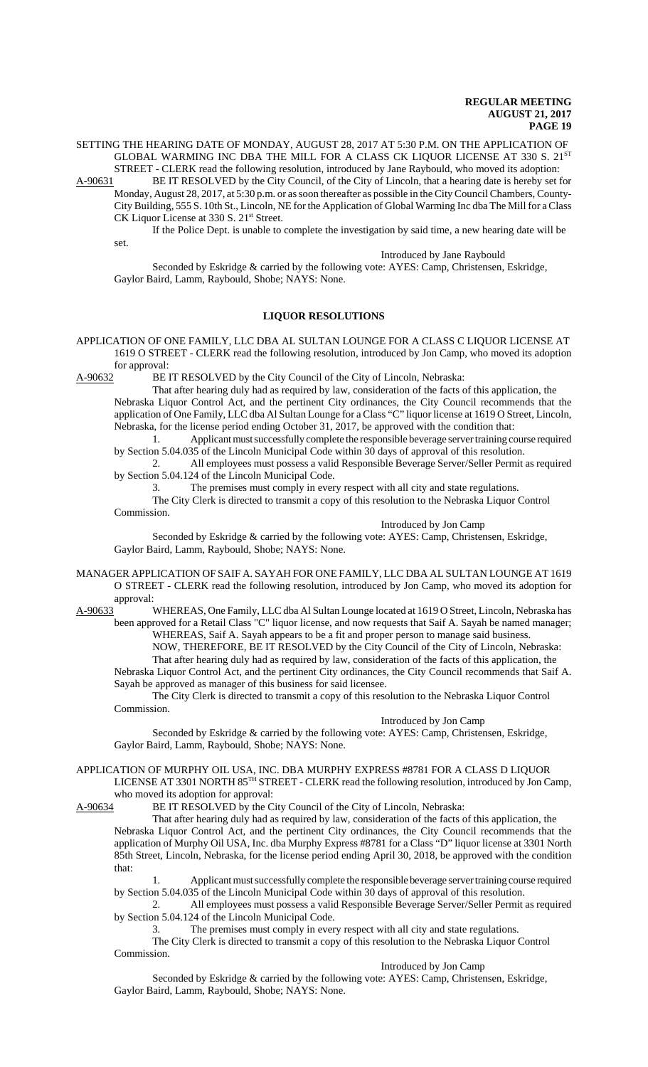SETTING THE HEARING DATE OF MONDAY, AUGUST 28, 2017 AT 5:30 P.M. ON THE APPLICATION OF GLOBAL WARMING INC DBA THE MILL FOR A CLASS CK LIQUOR LICENSE AT 330 S. 21ST STREET - CLERK read the following resolution, introduced by Jane Raybould, who moved its adoption:

A-90631 BE IT RESOLVED by the City Council, of the City of Lincoln, that a hearing date is hereby set for Monday, August 28, 2017, at 5:30 p.m. or as soon thereafter as possible in the City Council Chambers, County-City Building, 555 S. 10th St., Lincoln, NE for the Application of Global Warming Inc dba The Mill for a Class CK Liquor License at 330 S. 21<sup>st</sup> Street.

If the Police Dept. is unable to complete the investigation by said time, a new hearing date will be set.

Introduced by Jane Raybould

Seconded by Eskridge & carried by the following vote: AYES: Camp, Christensen, Eskridge, Gaylor Baird, Lamm, Raybould, Shobe; NAYS: None.

# **LIQUOR RESOLUTIONS**

APPLICATION OF ONE FAMILY, LLC DBA AL SULTAN LOUNGE FOR A CLASS C LIQUOR LICENSE AT 1619 O STREET - CLERK read the following resolution, introduced by Jon Camp, who moved its adoption for approval:

A-90632 BE IT RESOLVED by the City Council of the City of Lincoln, Nebraska:

That after hearing duly had as required by law, consideration of the facts of this application, the Nebraska Liquor Control Act, and the pertinent City ordinances, the City Council recommends that the application of One Family, LLC dba Al Sultan Lounge for a Class "C" liquor license at 1619 O Street, Lincoln, Nebraska, for the license period ending October 31, 2017, be approved with the condition that:

1. Applicant must successfully complete the responsible beverage server training course required by Section 5.04.035 of the Lincoln Municipal Code within 30 days of approval of this resolution.

2. All employees must possess a valid Responsible Beverage Server/Seller Permit as required by Section 5.04.124 of the Lincoln Municipal Code.

3. The premises must comply in every respect with all city and state regulations. The City Clerk is directed to transmit a copy of this resolution to the Nebraska Liquor Control

Commission.

Introduced by Jon Camp

Seconded by Eskridge & carried by the following vote: AYES: Camp, Christensen, Eskridge, Gaylor Baird, Lamm, Raybould, Shobe; NAYS: None.

MANAGER APPLICATION OF SAIF A. SAYAH FOR ONE FAMILY, LLC DBA AL SULTAN LOUNGE AT 1619 O STREET - CLERK read the following resolution, introduced by Jon Camp, who moved its adoption for approval:

A-90633<sup>1</sup> WHEREAS, One Family, LLC dba Al Sultan Lounge located at 1619 O Street, Lincoln, Nebraska has been approved for a Retail Class "C" liquor license, and now requests that Saif A. Sayah be named manager; WHEREAS, Saif A. Sayah appears to be a fit and proper person to manage said business.

NOW, THEREFORE, BE IT RESOLVED by the City Council of the City of Lincoln, Nebraska: That after hearing duly had as required by law, consideration of the facts of this application, the Nebraska Liquor Control Act, and the pertinent City ordinances, the City Council recommends that Saif A. Sayah be approved as manager of this business for said licensee.

The City Clerk is directed to transmit a copy of this resolution to the Nebraska Liquor Control Commission.

#### Introduced by Jon Camp

Seconded by Eskridge & carried by the following vote: AYES: Camp, Christensen, Eskridge, Gaylor Baird, Lamm, Raybould, Shobe; NAYS: None.

APPLICATION OF MURPHY OIL USA, INC. DBA MURPHY EXPRESS #8781 FOR A CLASS D LIQUOR

LICENSE AT 3301 NORTH 85TH STREET - CLERK read the following resolution, introduced by Jon Camp, who moved its adoption for approval:

A-90634 BE IT RESOLVED by the City Council of the City of Lincoln, Nebraska:

That after hearing duly had as required by law, consideration of the facts of this application, the Nebraska Liquor Control Act, and the pertinent City ordinances, the City Council recommends that the application of Murphy Oil USA, Inc. dba Murphy Express #8781 for a Class "D" liquor license at 3301 North 85th Street, Lincoln, Nebraska, for the license period ending April 30, 2018, be approved with the condition that:

1. Applicant must successfully complete the responsible beverage server training course required by Section 5.04.035 of the Lincoln Municipal Code within 30 days of approval of this resolution.

2. All employees must possess a valid Responsible Beverage Server/Seller Permit as required by Section 5.04.124 of the Lincoln Municipal Code.

3. The premises must comply in every respect with all city and state regulations.

The City Clerk is directed to transmit a copy of this resolution to the Nebraska Liquor Control Commission.

Introduced by Jon Camp

Seconded by Eskridge & carried by the following vote: AYES: Camp, Christensen, Eskridge, Gaylor Baird, Lamm, Raybould, Shobe; NAYS: None.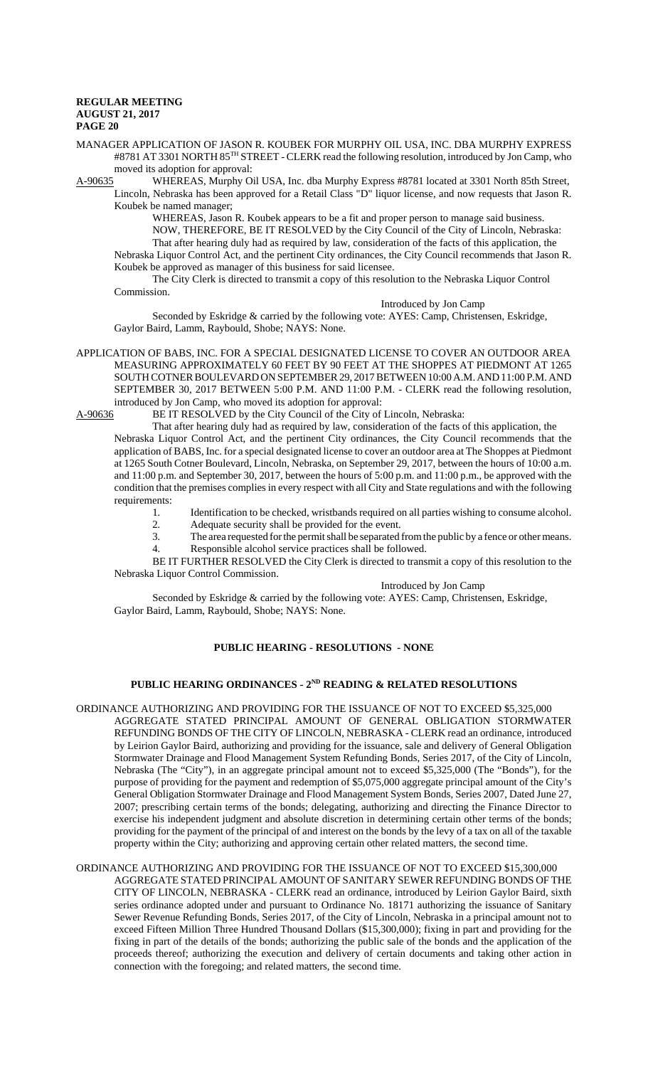MANAGER APPLICATION OF JASON R. KOUBEK FOR MURPHY OIL USA, INC. DBA MURPHY EXPRESS #8781 AT 3301 NORTH 85<sup>TH</sup> STREET - CLERK read the following resolution, introduced by Jon Camp, who

moved its adoption for approval:<br>A-90635 WHEREAS, Murphy O WHEREAS, Murphy Oil USA, Inc. dba Murphy Express #8781 located at 3301 North 85th Street, Lincoln, Nebraska has been approved for a Retail Class "D" liquor license, and now requests that Jason R. Koubek be named manager;

WHEREAS, Jason R. Koubek appears to be a fit and proper person to manage said business. NOW, THEREFORE, BE IT RESOLVED by the City Council of the City of Lincoln, Nebraska: That after hearing duly had as required by law, consideration of the facts of this application, the Nebraska Liquor Control Act, and the pertinent City ordinances, the City Council recommends that Jason R.

Koubek be approved as manager of this business for said licensee. The City Clerk is directed to transmit a copy of this resolution to the Nebraska Liquor Control

Commission.

#### Introduced by Jon Camp

Seconded by Eskridge & carried by the following vote: AYES: Camp, Christensen, Eskridge, Gaylor Baird, Lamm, Raybould, Shobe; NAYS: None.

APPLICATION OF BABS, INC. FOR A SPECIAL DESIGNATED LICENSE TO COVER AN OUTDOOR AREA MEASURING APPROXIMATELY 60 FEET BY 90 FEET AT THE SHOPPES AT PIEDMONT AT 1265 SOUTH COTNER BOULEVARD ON SEPTEMBER 29, 2017 BETWEEN 10:00 A.M. AND 11:00 P.M. AND SEPTEMBER 30, 2017 BETWEEN 5:00 P.M. AND 11:00 P.M. - CLERK read the following resolution, introduced by Jon Camp, who moved its adoption for approval:<br>A-90636 BE IT RESOLVED by the City Council of the City of

BE IT RESOLVED by the City Council of the City of Lincoln, Nebraska:

That after hearing duly had as required by law, consideration of the facts of this application, the Nebraska Liquor Control Act, and the pertinent City ordinances, the City Council recommends that the application of BABS, Inc. for a special designated license to cover an outdoor area at The Shoppes at Piedmont at 1265 South Cotner Boulevard, Lincoln, Nebraska, on September 29, 2017, between the hours of 10:00 a.m. and 11:00 p.m. and September 30, 2017, between the hours of 5:00 p.m. and 11:00 p.m., be approved with the condition that the premises complies in every respect with all City and State regulations and with the following requirements:

- 1. Identification to be checked, wristbands required on all parties wishing to consume alcohol.
- 2. Adequate security shall be provided for the event.
- 3. The area requested for the permit shall be separated from the public by a fence or other means.
- 4. Responsible alcohol service practices shall be followed.

BE IT FURTHER RESOLVED the City Clerk is directed to transmit a copy of this resolution to the Nebraska Liquor Control Commission.

## Introduced by Jon Camp

Seconded by Eskridge & carried by the following vote: AYES: Camp, Christensen, Eskridge, Gaylor Baird, Lamm, Raybould, Shobe; NAYS: None.

# **PUBLIC HEARING - RESOLUTIONS - NONE**

# PUBLIC HEARING ORDINANCES - 2<sup>ND</sup> READING & RELATED RESOLUTIONS

ORDINANCE AUTHORIZING AND PROVIDING FOR THE ISSUANCE OF NOT TO EXCEED \$5,325,000 AGGREGATE STATED PRINCIPAL AMOUNT OF GENERAL OBLIGATION STORMWATER REFUNDING BONDS OF THE CITY OF LINCOLN, NEBRASKA - CLERK read an ordinance, introduced by Leirion Gaylor Baird, authorizing and providing for the issuance, sale and delivery of General Obligation Stormwater Drainage and Flood Management System Refunding Bonds, Series 2017, of the City of Lincoln, Nebraska (The "City"), in an aggregate principal amount not to exceed \$5,325,000 (The "Bonds"), for the purpose of providing for the payment and redemption of \$5,075,000 aggregate principal amount of the City's General Obligation Stormwater Drainage and Flood Management System Bonds, Series 2007, Dated June 27, 2007; prescribing certain terms of the bonds; delegating, authorizing and directing the Finance Director to exercise his independent judgment and absolute discretion in determining certain other terms of the bonds; providing for the payment of the principal of and interest on the bonds by the levy of a tax on all of the taxable property within the City; authorizing and approving certain other related matters, the second time.

#### ORDINANCE AUTHORIZING AND PROVIDING FOR THE ISSUANCE OF NOT TO EXCEED \$15,300,000 AGGREGATE STATED PRINCIPAL AMOUNT OF SANITARY SEWER REFUNDING BONDS OF THE

CITY OF LINCOLN, NEBRASKA - CLERK read an ordinance, introduced by Leirion Gaylor Baird, sixth series ordinance adopted under and pursuant to Ordinance No. 18171 authorizing the issuance of Sanitary Sewer Revenue Refunding Bonds, Series 2017, of the City of Lincoln, Nebraska in a principal amount not to exceed Fifteen Million Three Hundred Thousand Dollars (\$15,300,000); fixing in part and providing for the fixing in part of the details of the bonds; authorizing the public sale of the bonds and the application of the proceeds thereof; authorizing the execution and delivery of certain documents and taking other action in connection with the foregoing; and related matters, the second time.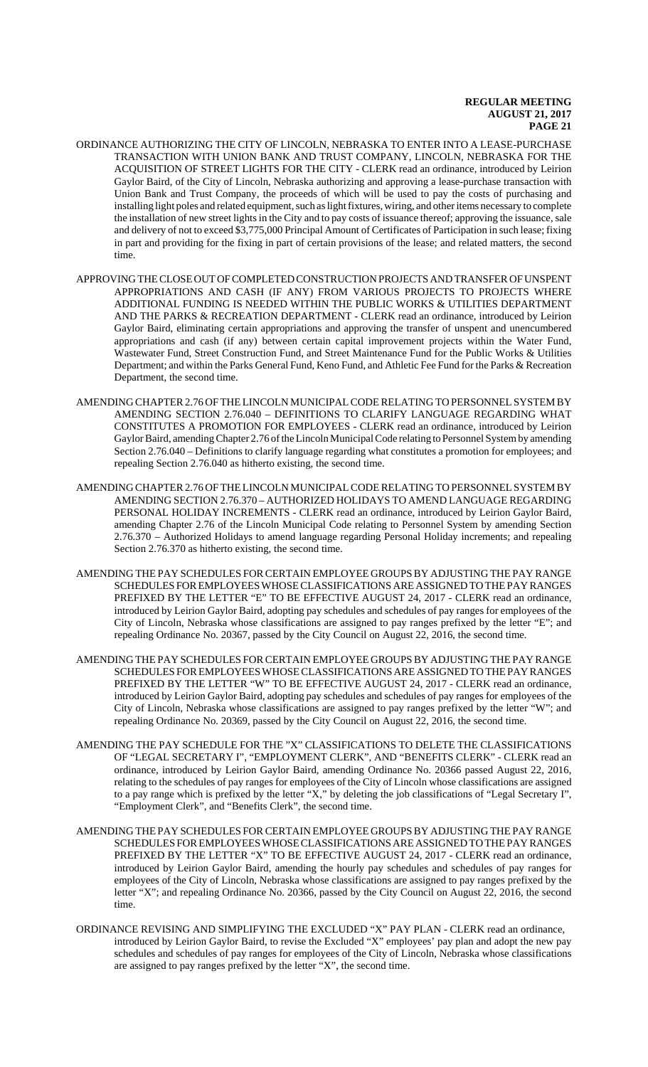- ORDINANCE AUTHORIZING THE CITY OF LINCOLN, NEBRASKA TO ENTER INTO A LEASE-PURCHASE TRANSACTION WITH UNION BANK AND TRUST COMPANY, LINCOLN, NEBRASKA FOR THE ACQUISITION OF STREET LIGHTS FOR THE CITY - CLERK read an ordinance, introduced by Leirion Gaylor Baird, of the City of Lincoln, Nebraska authorizing and approving a lease-purchase transaction with Union Bank and Trust Company, the proceeds of which will be used to pay the costs of purchasing and installing light poles and related equipment, such as light fixtures, wiring, and other items necessary to complete the installation of new street lights in the City and to pay costs of issuance thereof; approving the issuance, sale and delivery of not to exceed \$3,775,000 Principal Amount of Certificates of Participation in such lease; fixing in part and providing for the fixing in part of certain provisions of the lease; and related matters, the second time.
- APPROVING THE CLOSE OUT OF COMPLETED CONSTRUCTION PROJECTS AND TRANSFER OF UNSPENT APPROPRIATIONS AND CASH (IF ANY) FROM VARIOUS PROJECTS TO PROJECTS WHERE ADDITIONAL FUNDING IS NEEDED WITHIN THE PUBLIC WORKS & UTILITIES DEPARTMENT AND THE PARKS & RECREATION DEPARTMENT - CLERK read an ordinance, introduced by Leirion Gaylor Baird, eliminating certain appropriations and approving the transfer of unspent and unencumbered appropriations and cash (if any) between certain capital improvement projects within the Water Fund, Wastewater Fund, Street Construction Fund, and Street Maintenance Fund for the Public Works & Utilities Department; and within the Parks General Fund, Keno Fund, and Athletic Fee Fund for the Parks & Recreation Department, the second time.
- AMENDING CHAPTER 2.76 OF THE LINCOLN MUNICIPAL CODE RELATING TO PERSONNEL SYSTEM BY AMENDING SECTION 2.76.040 – DEFINITIONS TO CLARIFY LANGUAGE REGARDING WHAT CONSTITUTES A PROMOTION FOR EMPLOYEES - CLERK read an ordinance, introduced by Leirion Gaylor Baird, amending Chapter 2.76 of the Lincoln Municipal Code relating to Personnel System by amending Section 2.76.040 – Definitions to clarify language regarding what constitutes a promotion for employees; and repealing Section 2.76.040 as hitherto existing, the second time.
- AMENDING CHAPTER 2.76 OF THE LINCOLN MUNICIPAL CODE RELATING TO PERSONNEL SYSTEM BY AMENDING SECTION 2.76.370 – AUTHORIZED HOLIDAYS TO AMEND LANGUAGE REGARDING PERSONAL HOLIDAY INCREMENTS - CLERK read an ordinance, introduced by Leirion Gaylor Baird, amending Chapter 2.76 of the Lincoln Municipal Code relating to Personnel System by amending Section 2.76.370 – Authorized Holidays to amend language regarding Personal Holiday increments; and repealing Section 2.76.370 as hitherto existing, the second time.
- AMENDING THE PAY SCHEDULES FOR CERTAIN EMPLOYEE GROUPS BY ADJUSTING THE PAY RANGE SCHEDULES FOR EMPLOYEES WHOSE CLASSIFICATIONS ARE ASSIGNED TO THE PAY RANGES PREFIXED BY THE LETTER "E" TO BE EFFECTIVE AUGUST 24, 2017 - CLERK read an ordinance, introduced by Leirion Gaylor Baird, adopting pay schedules and schedules of pay ranges for employees of the City of Lincoln, Nebraska whose classifications are assigned to pay ranges prefixed by the letter "E"; and repealing Ordinance No. 20367, passed by the City Council on August 22, 2016, the second time.
- AMENDING THE PAY SCHEDULES FOR CERTAIN EMPLOYEE GROUPS BY ADJUSTING THE PAY RANGE SCHEDULES FOR EMPLOYEES WHOSE CLASSIFICATIONS ARE ASSIGNED TO THE PAY RANGES PREFIXED BY THE LETTER "W" TO BE EFFECTIVE AUGUST 24, 2017 - CLERK read an ordinance, introduced by Leirion Gaylor Baird, adopting pay schedules and schedules of pay ranges for employees of the City of Lincoln, Nebraska whose classifications are assigned to pay ranges prefixed by the letter "W"; and repealing Ordinance No. 20369, passed by the City Council on August 22, 2016, the second time.
- AMENDING THE PAY SCHEDULE FOR THE "X" CLASSIFICATIONS TO DELETE THE CLASSIFICATIONS OF "LEGAL SECRETARY I", "EMPLOYMENT CLERK", AND "BENEFITS CLERK" - CLERK read an ordinance, introduced by Leirion Gaylor Baird, amending Ordinance No. 20366 passed August 22, 2016, relating to the schedules of pay ranges for employees of the City of Lincoln whose classifications are assigned to a pay range which is prefixed by the letter "X," by deleting the job classifications of "Legal Secretary I", "Employment Clerk", and "Benefits Clerk", the second time.
- AMENDING THE PAY SCHEDULES FOR CERTAIN EMPLOYEE GROUPS BY ADJUSTING THE PAY RANGE SCHEDULES FOR EMPLOYEES WHOSE CLASSIFICATIONS ARE ASSIGNED TO THE PAY RANGES PREFIXED BY THE LETTER "X" TO BE EFFECTIVE AUGUST 24, 2017 - CLERK read an ordinance, introduced by Leirion Gaylor Baird, amending the hourly pay schedules and schedules of pay ranges for employees of the City of Lincoln, Nebraska whose classifications are assigned to pay ranges prefixed by the letter "X"; and repealing Ordinance No. 20366, passed by the City Council on August 22, 2016, the second time.
- ORDINANCE REVISING AND SIMPLIFYING THE EXCLUDED "X" PAY PLAN CLERK read an ordinance, introduced by Leirion Gaylor Baird, to revise the Excluded "X" employees' pay plan and adopt the new pay schedules and schedules of pay ranges for employees of the City of Lincoln, Nebraska whose classifications are assigned to pay ranges prefixed by the letter "X", the second time.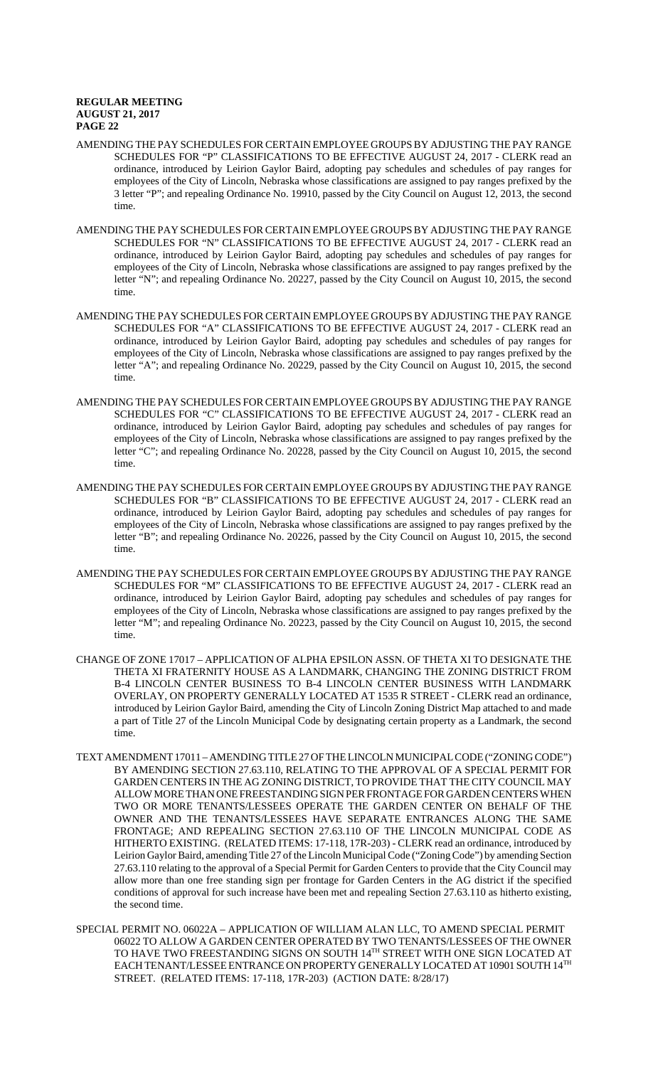- AMENDING THE PAY SCHEDULES FOR CERTAIN EMPLOYEE GROUPS BY ADJUSTING THE PAY RANGE SCHEDULES FOR "P" CLASSIFICATIONS TO BE EFFECTIVE AUGUST 24, 2017 - CLERK read an ordinance, introduced by Leirion Gaylor Baird, adopting pay schedules and schedules of pay ranges for employees of the City of Lincoln, Nebraska whose classifications are assigned to pay ranges prefixed by the 3 letter "P"; and repealing Ordinance No. 19910, passed by the City Council on August 12, 2013, the second time.
- AMENDING THE PAY SCHEDULES FOR CERTAIN EMPLOYEE GROUPS BY ADJUSTING THE PAY RANGE SCHEDULES FOR "N" CLASSIFICATIONS TO BE EFFECTIVE AUGUST 24, 2017 - CLERK read an ordinance, introduced by Leirion Gaylor Baird, adopting pay schedules and schedules of pay ranges for employees of the City of Lincoln, Nebraska whose classifications are assigned to pay ranges prefixed by the letter "N"; and repealing Ordinance No. 20227, passed by the City Council on August 10, 2015, the second time.
- AMENDING THE PAY SCHEDULES FOR CERTAIN EMPLOYEE GROUPS BY ADJUSTING THE PAY RANGE SCHEDULES FOR "A" CLASSIFICATIONS TO BE EFFECTIVE AUGUST 24, 2017 - CLERK read an ordinance, introduced by Leirion Gaylor Baird, adopting pay schedules and schedules of pay ranges for employees of the City of Lincoln, Nebraska whose classifications are assigned to pay ranges prefixed by the letter "A"; and repealing Ordinance No. 20229, passed by the City Council on August 10, 2015, the second time.
- AMENDING THE PAY SCHEDULES FOR CERTAIN EMPLOYEE GROUPS BY ADJUSTING THE PAY RANGE SCHEDULES FOR "C" CLASSIFICATIONS TO BE EFFECTIVE AUGUST 24, 2017 - CLERK read an ordinance, introduced by Leirion Gaylor Baird, adopting pay schedules and schedules of pay ranges for employees of the City of Lincoln, Nebraska whose classifications are assigned to pay ranges prefixed by the letter "C"; and repealing Ordinance No. 20228, passed by the City Council on August 10, 2015, the second time.
- AMENDING THE PAY SCHEDULES FOR CERTAIN EMPLOYEE GROUPS BY ADJUSTING THE PAY RANGE SCHEDULES FOR "B" CLASSIFICATIONS TO BE EFFECTIVE AUGUST 24, 2017 - CLERK read an ordinance, introduced by Leirion Gaylor Baird, adopting pay schedules and schedules of pay ranges for employees of the City of Lincoln, Nebraska whose classifications are assigned to pay ranges prefixed by the letter "B"; and repealing Ordinance No. 20226, passed by the City Council on August 10, 2015, the second time.
- AMENDING THE PAY SCHEDULES FOR CERTAIN EMPLOYEE GROUPS BY ADJUSTING THE PAY RANGE SCHEDULES FOR "M" CLASSIFICATIONS TO BE EFFECTIVE AUGUST 24, 2017 - CLERK read an ordinance, introduced by Leirion Gaylor Baird, adopting pay schedules and schedules of pay ranges for employees of the City of Lincoln, Nebraska whose classifications are assigned to pay ranges prefixed by the letter "M"; and repealing Ordinance No. 20223, passed by the City Council on August 10, 2015, the second time.
- CHANGE OF ZONE 17017 APPLICATION OF ALPHA EPSILON ASSN. OF THETA XI TO DESIGNATE THE THETA XI FRATERNITY HOUSE AS A LANDMARK, CHANGING THE ZONING DISTRICT FROM B-4 LINCOLN CENTER BUSINESS TO B-4 LINCOLN CENTER BUSINESS WITH LANDMARK OVERLAY, ON PROPERTY GENERALLY LOCATED AT 1535 R STREET - CLERK read an ordinance, introduced by Leirion Gaylor Baird, amending the City of Lincoln Zoning District Map attached to and made a part of Title 27 of the Lincoln Municipal Code by designating certain property as a Landmark, the second time.
- TEXT AMENDMENT 17011 AMENDING TITLE 27 OF THE LINCOLN MUNICIPAL CODE ("ZONING CODE") BY AMENDING SECTION 27.63.110, RELATING TO THE APPROVAL OF A SPECIAL PERMIT FOR GARDEN CENTERS IN THE AG ZONING DISTRICT, TO PROVIDE THAT THE CITY COUNCIL MAY ALLOW MORE THAN ONE FREESTANDING SIGN PER FRONTAGE FOR GARDEN CENTERS WHEN TWO OR MORE TENANTS/LESSEES OPERATE THE GARDEN CENTER ON BEHALF OF THE OWNER AND THE TENANTS/LESSEES HAVE SEPARATE ENTRANCES ALONG THE SAME FRONTAGE; AND REPEALING SECTION 27.63.110 OF THE LINCOLN MUNICIPAL CODE AS HITHERTO EXISTING. (RELATED ITEMS: 17-118, 17R-203) - CLERK read an ordinance, introduced by Leirion Gaylor Baird, amending Title 27 of the Lincoln Municipal Code ("Zoning Code") by amending Section 27.63.110 relating to the approval of a Special Permit for Garden Centers to provide that the City Council may allow more than one free standing sign per frontage for Garden Centers in the AG district if the specified conditions of approval for such increase have been met and repealing Section 27.63.110 as hitherto existing, the second time.
- SPECIAL PERMIT NO. 06022A APPLICATION OF WILLIAM ALAN LLC, TO AMEND SPECIAL PERMIT 06022 TO ALLOW A GARDEN CENTER OPERATED BY TWO TENANTS/LESSEES OF THE OWNER TO HAVE TWO FREESTANDING SIGNS ON SOUTH 14TH STREET WITH ONE SIGN LOCATED AT EACH TENANT/LESSEE ENTRANCE ON PROPERTY GENERALLY LOCATED AT 10901 SOUTH 14TH STREET. (RELATED ITEMS: 17-118, 17R-203) (ACTION DATE: 8/28/17)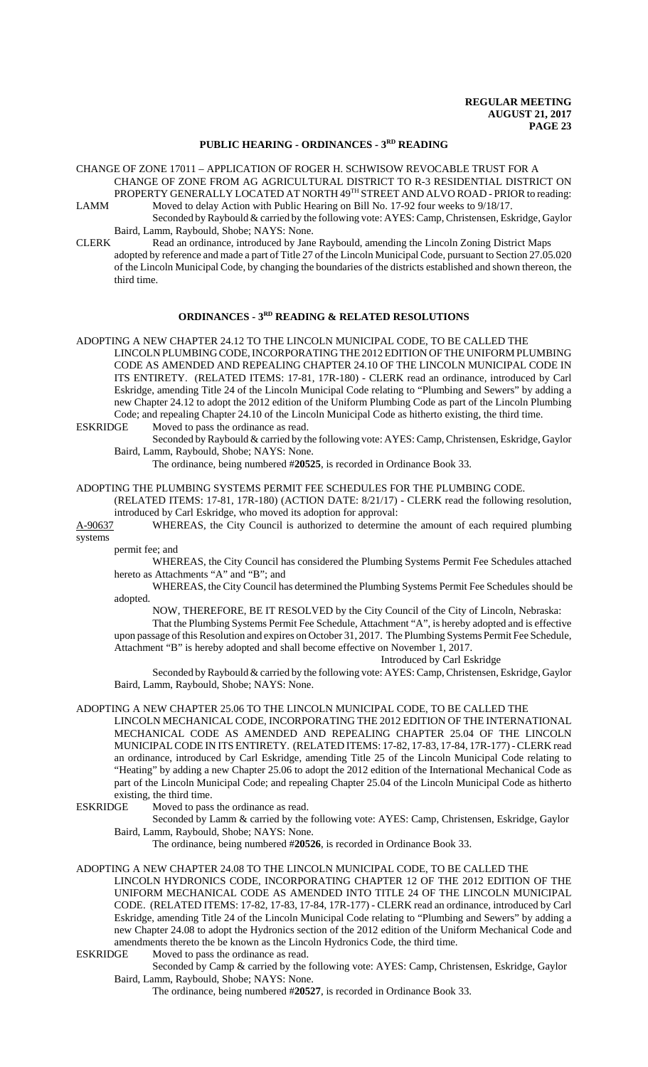# **PUBLIC HEARING - ORDINANCES - 3RD READING**

CHANGE OF ZONE 17011 – APPLICATION OF ROGER H. SCHWISOW REVOCABLE TRUST FOR A CHANGE OF ZONE FROM AG AGRICULTURAL DISTRICT TO R-3 RESIDENTIAL DISTRICT ON PROPERTY GENERALLY LOCATED AT NORTH 49TH STREET AND ALVO ROAD - PRIOR to reading: LAMM Moved to delay Action with Public Hearing on Bill No. 17-92 four weeks to 9/18/17.

- Seconded by Raybould & carried by the following vote: AYES: Camp, Christensen, Eskridge, Gaylor Baird, Lamm, Raybould, Shobe; NAYS: None.
- CLERK Read an ordinance, introduced by Jane Raybould, amending the Lincoln Zoning District Maps adopted by reference and made a part of Title 27 of the Lincoln Municipal Code, pursuant to Section 27.05.020 of the Lincoln Municipal Code, by changing the boundaries of the districts established and shown thereon, the third time.

#### **ORDINANCES - 3RD READING & RELATED RESOLUTIONS**

ADOPTING A NEW CHAPTER 24.12 TO THE LINCOLN MUNICIPAL CODE, TO BE CALLED THE LINCOLN PLUMBING CODE, INCORPORATING THE 2012 EDITION OF THE UNIFORM PLUMBING CODE AS AMENDED AND REPEALING CHAPTER 24.10 OF THE LINCOLN MUNICIPAL CODE IN ITS ENTIRETY. (RELATED ITEMS: 17-81, 17R-180) - CLERK read an ordinance, introduced by Carl Eskridge, amending Title 24 of the Lincoln Municipal Code relating to "Plumbing and Sewers" by adding a new Chapter 24.12 to adopt the 2012 edition of the Uniform Plumbing Code as part of the Lincoln Plumbing Code; and repealing Chapter 24.10 of the Lincoln Municipal Code as hitherto existing, the third time.<br>ESKRIDGE Moved to pass the ordinance as read. Moved to pass the ordinance as read.

Seconded by Raybould & carried by the following vote: AYES: Camp, Christensen, Eskridge, Gaylor Baird, Lamm, Raybould, Shobe; NAYS: None.

The ordinance, being numbered #**20525**, is recorded in Ordinance Book 33.

ADOPTING THE PLUMBING SYSTEMS PERMIT FEE SCHEDULES FOR THE PLUMBING CODE.

(RELATED ITEMS: 17-81, 17R-180) (ACTION DATE: 8/21/17) - CLERK read the following resolution, introduced by Carl Eskridge, who moved its adoption for approval:

A-90637 WHEREAS, the City Council is authorized to determine the amount of each required plumbing systems

permit fee; and

WHEREAS, the City Council has considered the Plumbing Systems Permit Fee Schedules attached hereto as Attachments "A" and "B"; and

 WHEREAS, the City Council has determined the Plumbing Systems Permit Fee Schedules should be adopted.

NOW, THEREFORE, BE IT RESOLVED by the City Council of the City of Lincoln, Nebraska:

That the Plumbing Systems Permit Fee Schedule, Attachment "A", is hereby adopted and is effective upon passage of this Resolution and expires on October 31, 2017. The Plumbing Systems Permit Fee Schedule, Attachment "B" is hereby adopted and shall become effective on November 1, 2017.

Introduced by Carl Eskridge

Seconded by Raybould & carried by the following vote: AYES: Camp, Christensen, Eskridge, Gaylor Baird, Lamm, Raybould, Shobe; NAYS: None.

ADOPTING A NEW CHAPTER 25.06 TO THE LINCOLN MUNICIPAL CODE, TO BE CALLED THE LINCOLN MECHANICAL CODE, INCORPORATING THE 2012 EDITION OF THE INTERNATIONAL MECHANICAL CODE AS AMENDED AND REPEALING CHAPTER 25.04 OF THE LINCOLN MUNICIPAL CODE IN ITS ENTIRETY. (RELATED ITEMS: 17-82, 17-83, 17-84, 17R-177) - CLERK read an ordinance, introduced by Carl Eskridge, amending Title 25 of the Lincoln Municipal Code relating to "Heating" by adding a new Chapter 25.06 to adopt the 2012 edition of the International Mechanical Code as part of the Lincoln Municipal Code; and repealing Chapter 25.04 of the Lincoln Municipal Code as hitherto existing, the third time.

ESKRIDGE Moved to pass the ordinance as read.

Seconded by Lamm & carried by the following vote: AYES: Camp, Christensen, Eskridge, Gaylor Baird, Lamm, Raybould, Shobe; NAYS: None.

The ordinance, being numbered #**20526**, is recorded in Ordinance Book 33.

ADOPTING A NEW CHAPTER 24.08 TO THE LINCOLN MUNICIPAL CODE, TO BE CALLED THE LINCOLN HYDRONICS CODE, INCORPORATING CHAPTER 12 OF THE 2012 EDITION OF THE UNIFORM MECHANICAL CODE AS AMENDED INTO TITLE 24 OF THE LINCOLN MUNICIPAL CODE. (RELATED ITEMS: 17-82, 17-83, 17-84, 17R-177) - CLERK read an ordinance, introduced by Carl Eskridge, amending Title 24 of the Lincoln Municipal Code relating to "Plumbing and Sewers" by adding a new Chapter 24.08 to adopt the Hydronics section of the 2012 edition of the Uniform Mechanical Code and amendments thereto the be known as the Lincoln Hydronics Code, the third time.

ESKRIDGE Moved to pass the ordinance as read.

Seconded by Camp & carried by the following vote: AYES: Camp, Christensen, Eskridge, Gaylor Baird, Lamm, Raybould, Shobe; NAYS: None.

The ordinance, being numbered #**20527**, is recorded in Ordinance Book 33.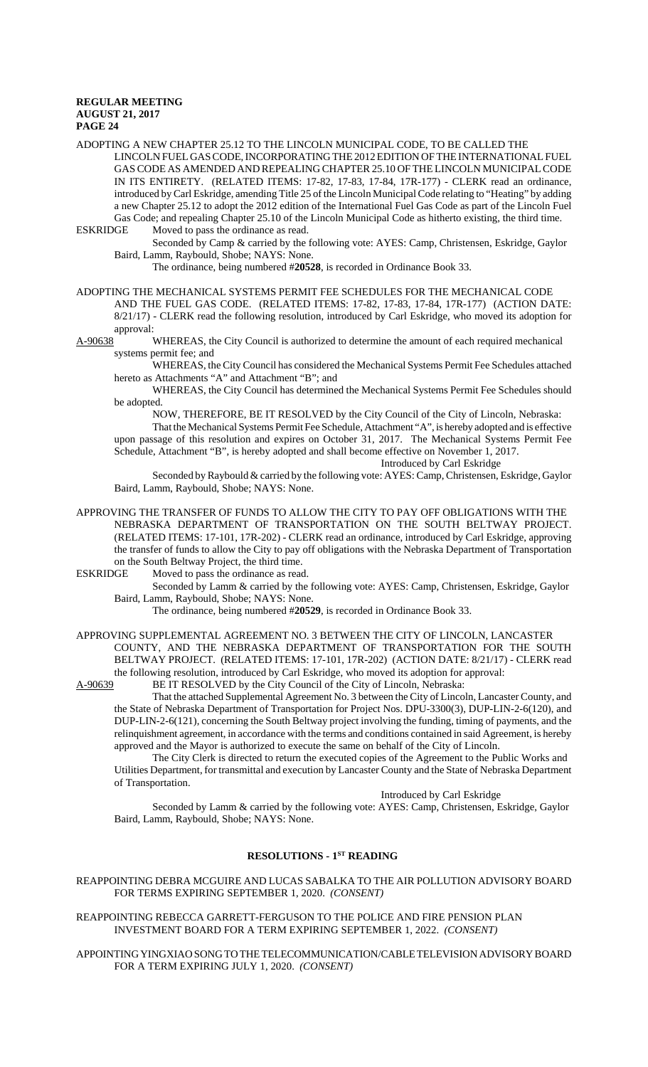ADOPTING A NEW CHAPTER 25.12 TO THE LINCOLN MUNICIPAL CODE, TO BE CALLED THE LINCOLN FUEL GAS CODE, INCORPORATING THE 2012 EDITION OF THE INTERNATIONAL FUEL GAS CODE AS AMENDED AND REPEALING CHAPTER 25.10 OF THE LINCOLN MUNICIPAL CODE IN ITS ENTIRETY. (RELATED ITEMS: 17-82, 17-83, 17-84, 17R-177) - CLERK read an ordinance, introduced by Carl Eskridge, amending Title 25 of the Lincoln Municipal Code relating to "Heating" by adding a new Chapter 25.12 to adopt the 2012 edition of the International Fuel Gas Code as part of the Lincoln Fuel Gas Code; and repealing Chapter 25.10 of the Lincoln Municipal Code as hitherto existing, the third time. ESKRIDGE Moved to pass the ordinance as read.

Seconded by Camp & carried by the following vote: AYES: Camp, Christensen, Eskridge, Gaylor Baird, Lamm, Raybould, Shobe; NAYS: None.

The ordinance, being numbered #**20528**, is recorded in Ordinance Book 33.

ADOPTING THE MECHANICAL SYSTEMS PERMIT FEE SCHEDULES FOR THE MECHANICAL CODE AND THE FUEL GAS CODE. (RELATED ITEMS: 17-82, 17-83, 17-84, 17R-177) (ACTION DATE: 8/21/17) - CLERK read the following resolution, introduced by Carl Eskridge, who moved its adoption for approval:

A-90638 WHEREAS, the City Council is authorized to determine the amount of each required mechanical systems permit fee; and

WHEREAS, the City Council has considered the Mechanical Systems Permit Fee Schedules attached hereto as Attachments "A" and Attachment "B"; and

WHEREAS, the City Council has determined the Mechanical Systems Permit Fee Schedules should be adopted.

NOW, THEREFORE, BE IT RESOLVED by the City Council of the City of Lincoln, Nebraska:

That the Mechanical Systems Permit Fee Schedule, Attachment "A", is hereby adopted and is effective upon passage of this resolution and expires on October 31, 2017. The Mechanical Systems Permit Fee Schedule, Attachment "B", is hereby adopted and shall become effective on November 1, 2017. Introduced by Carl Eskridge

Seconded by Raybould & carried by the following vote: AYES: Camp, Christensen, Eskridge, Gaylor Baird, Lamm, Raybould, Shobe; NAYS: None.

APPROVING THE TRANSFER OF FUNDS TO ALLOW THE CITY TO PAY OFF OBLIGATIONS WITH THE NEBRASKA DEPARTMENT OF TRANSPORTATION ON THE SOUTH BELTWAY PROJECT. (RELATED ITEMS: 17-101, 17R-202) - CLERK read an ordinance, introduced by Carl Eskridge, approving the transfer of funds to allow the City to pay off obligations with the Nebraska Department of Transportation

on the South Beltway Project, the third time.<br>ESKRIDGE Moved to pass the ordinance as read Moved to pass the ordinance as read.

> Seconded by Lamm & carried by the following vote: AYES: Camp, Christensen, Eskridge, Gaylor Baird, Lamm, Raybould, Shobe; NAYS: None.

The ordinance, being numbered #**20529**, is recorded in Ordinance Book 33.

#### APPROVING SUPPLEMENTAL AGREEMENT NO. 3 BETWEEN THE CITY OF LINCOLN, LANCASTER COUNTY, AND THE NEBRASKA DEPARTMENT OF TRANSPORTATION FOR THE SOUTH BELTWAY PROJECT. (RELATED ITEMS: 17-101, 17R-202) (ACTION DATE: 8/21/17) - CLERK read the following resolution, introduced by Carl Eskridge, who moved its adoption for approval:

A-90639 BE IT RESOLVED by the City Council of the City of Lincoln, Nebraska:

That the attached Supplemental Agreement No. 3 between the City of Lincoln, Lancaster County, and the State of Nebraska Department of Transportation for Project Nos. DPU-3300(3), DUP-LIN-2-6(120), and DUP-LIN-2-6(121), concerning the South Beltway project involving the funding, timing of payments, and the relinquishment agreement, in accordance with the terms and conditions contained in said Agreement, is hereby approved and the Mayor is authorized to execute the same on behalf of the City of Lincoln.

The City Clerk is directed to return the executed copies of the Agreement to the Public Works and Utilities Department, for transmittal and execution by Lancaster County and the State of Nebraska Department of Transportation.

Introduced by Carl Eskridge

Seconded by Lamm & carried by the following vote: AYES: Camp, Christensen, Eskridge, Gaylor Baird, Lamm, Raybould, Shobe; NAYS: None.

# **RESOLUTIONS - 1ST READING**

#### REAPPOINTING DEBRA MCGUIRE AND LUCAS SABALKA TO THE AIR POLLUTION ADVISORY BOARD FOR TERMS EXPIRING SEPTEMBER 1, 2020. *(CONSENT)*

### REAPPOINTING REBECCA GARRETT-FERGUSON TO THE POLICE AND FIRE PENSION PLAN INVESTMENT BOARD FOR A TERM EXPIRING SEPTEMBER 1, 2022. *(CONSENT)*

APPOINTING YINGXIAO SONG TO THE TELECOMMUNICATION/CABLE TELEVISION ADVISORY BOARD FOR A TERM EXPIRING JULY 1, 2020. *(CONSENT)*